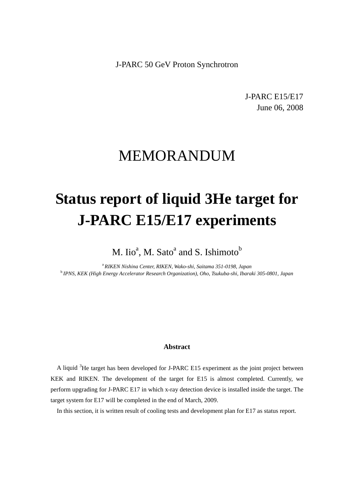J-PARC 50 GeV Proton Synchrotron

J-PARC E15/E17 June 06, 2008

# MEMORANDUM

# **Status report of liquid 3He target for J-PARC E15/E17 experiments**

M. Iio<sup>a</sup>, M. Sato<sup>a</sup> and S. Ishimoto<sup>b</sup>

<sup>a</sup>*RIKEN Nishina Center, RIKEN, Wako-shi, Saitama 351-0198, Japan* <sup>b</sup>*IPNS, KEK (High Energy Accelerator Research Organization), Oho, Tsukuba-shi, Ibaraki 305-0801, Japan*

## **Abstract**

A liquid <sup>3</sup>He target has been developed for J-PARC E15 experiment as the joint project between KEK and RIKEN. The development of the target for E15 is almost completed. Currently, we perform upgrading for J-PARC E17 in which x-ray detection device is installed inside the target. The target system for E17 will be completed in the end of March, 2009.

In this section, it is written result of cooling tests and development plan for E17 as status report.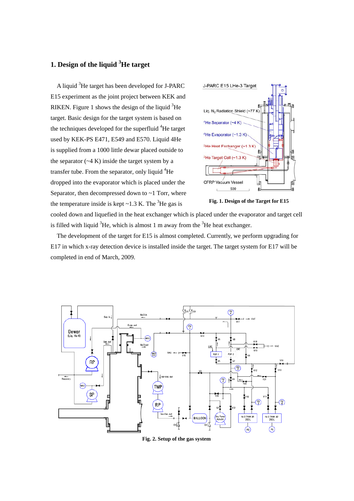# **1. Design of the liquid <sup>3</sup> He target**

A liquid <sup>3</sup>He target has been developed for J-PARC E15 experiment as the joint project between KEK and RIKEN. Figure 1 shows the design of the liquid  ${}^{3}$ He target. Basic design for the target system is based on the techniques developed for the superfluid <sup>4</sup>He target used by KEK-PS E471, E549 and E570. Liquid 4He is supplied from a 1000 little dewar placed outside to the separator  $({\sim}4 \text{ K})$  inside the target system by a transfer tube. From the separator, only liquid <sup>4</sup>He dropped into the evaporator which is placed under the Separator, then decompressed down to  $\sim$ 1 Torr, where the temperature inside is kept  $\sim$  1.3 K. The <sup>3</sup>He gas is



**Fig. 1. Design of the Target for E15** 

cooled down and liquefied in the heat exchanger which is placed under the evaporator and target cell is filled with liquid  ${}^{3}$ He, which is almost 1 m away from the  ${}^{3}$ He heat exchanger.

The development of the target for E15 is almost completed. Currently, we perform upgrading for E17 in which x-ray detection device is installed inside the target. The target system for E17 will be completed in end of March, 2009.



**Fig. 2. Setup of the gas system**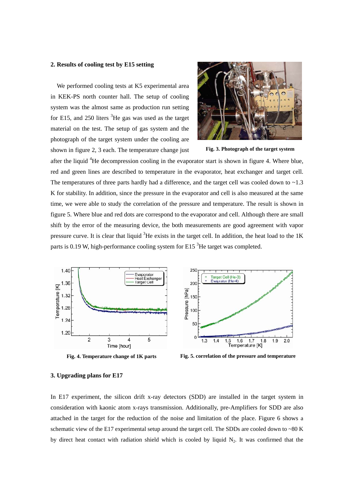### **2. Results of cooling test by E15 setting**

We performed cooling tests at K5 experimental area in KEK-PS north counter hall. The setup of cooling system was the almost same as production run setting for E15, and 250 liters  ${}^{3}$ He gas was used as the target material on the test. The setup of gas system and the photograph of the target system under the cooling are shown in figure 2, 3 each. The temperature change just



**Fig. 3. Photograph of the target system** 

after the liquid  ${}^{4}$ He decompression cooling in the evaporator start is shown in figure 4. Where blue, red and green lines are described to temperature in the evaporator, heat exchanger and target cell. The temperatures of three parts hardly had a difference, and the target cell was cooled down to  $\sim$ 1.3 K for stability. In addition, since the pressure in the evaporator and cell is also measured at the same time, we were able to study the correlation of the pressure and temperature. The result is shown in figure 5. Where blue and red dots are correspond to the evaporator and cell. Although there are small shift by the error of the measuring device, the both measurements are good agreement with vapor pressure curve. It is clear that liquid  ${}^{3}$ He exists in the target cell. In addition, the heat load to the 1K parts is 0.19 W, high-performance cooling system for E15<sup>3</sup>He target was completed.



**Fig. 4. Temperature change of 1K parts** 



**Fig. 5. correlation of the pressure and temperature** 

#### **3. Upgrading plans for E17**

In E17 experiment, the silicon drift x-ray detectors (SDD) are installed in the target system in consideration with kaonic atom x-rays transmission. Additionally, pre-Amplifiers for SDD are also attached in the target for the reduction of the noise and limitation of the place. Figure 6 shows a schematic view of the E17 experimental setup around the target cell. The SDDs are cooled down to ~80 K by direct heat contact with radiation shield which is cooled by liquid  $N_2$ . It was confirmed that the